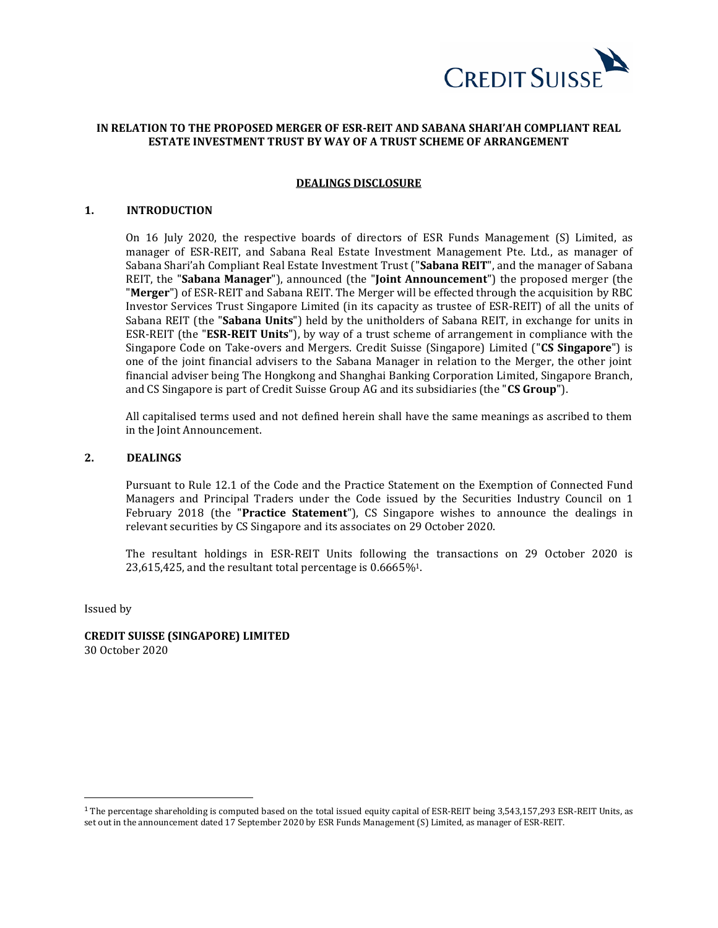

## **IN RELATION TO THE PROPOSED MERGER OF ESR-REIT AND SABANA SHARI'AH COMPLIANT REAL ESTATE INVESTMENT TRUST BY WAY OF A TRUST SCHEME OF ARRANGEMENT**

#### **DEALINGS DISCLOSURE**

### **1. INTRODUCTION**

On 16 July 2020, the respective boards of directors of ESR Funds Management (S) Limited, as manager of ESR-REIT, and Sabana Real Estate Investment Management Pte. Ltd., as manager of Sabana Shari'ah Compliant Real Estate Investment Trust ("**Sabana REIT**", and the manager of Sabana REIT, the "**Sabana Manager**"), announced (the "**Joint Announcement**") the proposed merger (the "**Merger**") of ESR-REIT and Sabana REIT. The Merger will be effected through the acquisition by RBC Investor Services Trust Singapore Limited (in its capacity as trustee of ESR-REIT) of all the units of Sabana REIT (the "**Sabana Units**") held by the unitholders of Sabana REIT, in exchange for units in ESR-REIT (the "**ESR-REIT Units**"), by way of a trust scheme of arrangement in compliance with the Singapore Code on Take-overs and Mergers. Credit Suisse (Singapore) Limited ("**CS Singapore**") is one of the joint financial advisers to the Sabana Manager in relation to the Merger, the other joint financial adviser being The Hongkong and Shanghai Banking Corporation Limited, Singapore Branch, and CS Singapore is part of Credit Suisse Group AG and its subsidiaries (the "**CS Group**").

All capitalised terms used and not defined herein shall have the same meanings as ascribed to them in the Joint Announcement.

## **2. DEALINGS**

Pursuant to Rule 12.1 of the Code and the Practice Statement on the Exemption of Connected Fund Managers and Principal Traders under the Code issued by the Securities Industry Council on 1 February 2018 (the "**Practice Statement**"), CS Singapore wishes to announce the dealings in relevant securities by CS Singapore and its associates on 29 October 2020.

The resultant holdings in ESR-REIT Units following the transactions on 29 October 2020 is 23,615,425, and the resultant total percentage is 0.6665%1.

Issued by

**CREDIT SUISSE (SINGAPORE) LIMITED** 30 October 2020

<sup>&</sup>lt;sup>1</sup> The percentage shareholding is computed based on the total issued equity capital of ESR-REIT being 3,543,157,293 ESR-REIT Units, as set out in the announcement dated 17 September 2020 by ESR Funds Management (S) Limited, as manager of ESR-REIT.